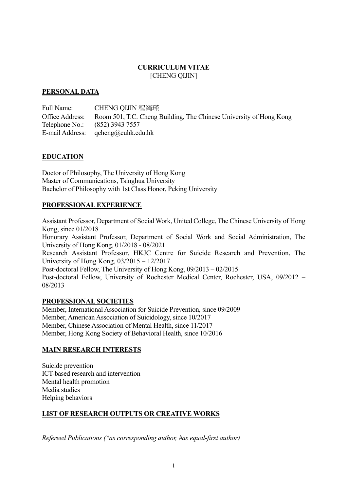### **CURRICULUM VITAE** [CHENG QIJIN]

### **PERSONAL DATA**

Full Name: CHENG QIJIN 程綺瑾 Office Address: Room 501, T.C. Cheng Building, The Chinese University of Hong Kong Telephone No.: (852) 3943 7557 E-mail Address: qcheng@cuhk.edu.hk

### **EDUCATION**

Doctor of Philosophy, The University of Hong Kong Master of Communications, Tsinghua University Bachelor of Philosophy with 1st Class Honor, Peking University

### **PROFESSIONAL EXPERIENCE**

Assistant Professor, Department of Social Work, United College, The Chinese University of Hong Kong, since 01/2018 Honorary Assistant Professor, Department of Social Work and Social Administration, The University of Hong Kong, 01/2018 - 08/2021 Research Assistant Professor, HKJC Centre for Suicide Research and Prevention, The University of Hong Kong, 03/2015 – 12/2017 Post-doctoral Fellow, The University of Hong Kong, 09/2013 – 02/2015 Post-doctoral Fellow, University of Rochester Medical Center, Rochester, USA, 09/2012 – 08/2013

### **PROFESSIONAL SOCIETIES**

Member, International Association for Suicide Prevention, since 09/2009 Member, American Association of Suicidology, since 10/2017 Member, Chinese Association of Mental Health, since 11/2017 Member, Hong Kong Society of Behavioral Health, since 10/2016

### **MAIN RESEARCH INTERESTS**

Suicide prevention ICT-based research and intervention Mental health promotion Media studies Helping behaviors

### **LIST OF RESEARCH OUTPUTS OR CREATIVE WORKS**

*Refereed Publications (\*as corresponding author, #as equal-first author)*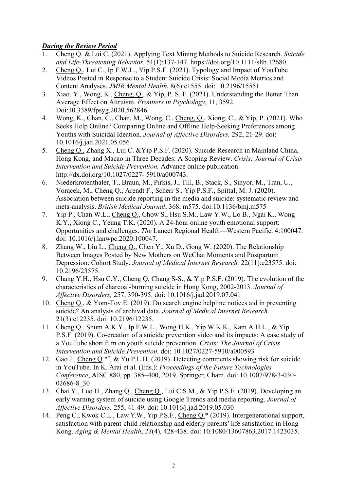## *During the Review Period*

- 1. Cheng Q. & Lui C. (2021). Applying Text Mining Methods to Suicide Research. *Suicide and Life-Threatening Behavior.* 51(1):137-147. https://doi.org/10.1111/sltb.12680.
- 2. Cheng Q., Lui C., Ip F.W.L., Yip P.S.F. (2021). Typology and Impact of YouTube Videos Posted in Response to a Student Suicide Crisis: Social Media Metrics and Content Analyses. *JMIR Mental Health.* 8(6):e1555. doi: 10.2196/15551
- 3. Xiao, Y., Wong, K., Cheng, Q., & Yip, P. S. F. (2021). Understanding the Better Than Average Effect on Altruism. *Frontiers in Psychology*, 11, 3592. Doi:10.3389/fpsyg.2020.562846.
- 4. Wong, K., Chan, C., Chan, M., Wong, C., Cheng, Q., Xiong, C., & Yip, P. (2021). Who Seeks Help Online? Comparing Online and Offline Help-Seeking Preferences among Youths with Suicidal Ideation. *Journal of Affective Disorders,* 292, 21-29. doi: 10.1016/j.jad.2021.05.056
- 5. Cheng Q., Zhang X., Lui C. &Yip P.S.F. (2020). Suicide Research in Mainland China, Hong Kong, and Macao in Three Decades: A Scoping Review. *Crisis: Journal of Crisis Intervention and Suicide Prevention.* Advance online publication. http://dx.doi.org/10.1027/0227- 5910/a000743.
- 6. Niederkrotenthaler, T., Braun, M., Pirkis, J., Till, B., Stack, S., Sinyor, M., Tran, U., Voracek, M., Cheng Q., Arendt F., Scherr S., Yip P.S.F., Spittal, M. J. (2020). Association between suicide reporting in the media and suicide: systematic review and meta-analysis. *British Medical Journal*, 368, m575. doi:10.1136/bmj.m575
- 7. Yip P., Chan W.L., Cheng Q., Chow S., Hsu S.M., Law Y.W., Lo B., Ngai K., Wong K.Y., Xiong C., Yeung T.K. (2020). A 24-hour online youth emotional support: Opportunities and challenges. *The* Lancet Regional Health––Western Pacific. 4:100047. doi: 10.1016/j.lanwpc.2020.100047.
- 8. Zhang W., Liu L., Cheng Q., Chen Y., Xu D., Gong W. (2020). The Relationship Between Images Posted by New Mothers on WeChat Moments and Postpartum Depression: Cohort Study. *Journal of Medical Internet Research.* 22(11):e23575. doi: 10.2196/23575.
- 9. Chang Y.H., Hsu C.Y., Cheng Q, Chang S-S., & Yip P.S.F. (2019). The evolution of the characteristics of charcoal-burning suicide in Hong Kong, 2002-2013. *Journal of Affective Disorders,* 257, 390-395. doi: 10.1016/j.jad.2019.07.041
- 10. Cheng Q., & Yom-Tov E. (2019). Do search engine helpline notices aid in preventing suicide? An analysis of archival data. *Journal of Medical Internet Research.* 21(3):e12235. doi: 10.2196/12235.
- 11. Cheng Q., Shum A.K.Y., Ip F.W.L., Wong H.K., Yip W.K.K., Kam A.H.L., & Yip P.S.F. (2019). Co-creation of a suicide prevention video and its impacts: A case study of a YouTube short film on youth suicide prevention. *Crisis: The Journal of Crisis Intervention and Suicide Prevention.* doi: 10.1027/0227-5910/a000593
- 12. Gao J., Cheng Q.\*#, & Yu P.L.H. (2019). Detecting comments showing risk for suicide in YouTube. In K. Arai et al. (Eds.): *Proceedings of the Future Technologies Conference*, AISC 880, pp. 385–400, 2019. Springer, Cham. doi: 10.1007/978-3-030- 02686-8\_30
- 13. Chai Y., Luo H., Zhang Q., Cheng Q., Lui C.S.M., & Yip P.S.F. (2019). Developing an early warning system of suicide using Google Trends and media reporting. *Journal of Affective Disorders,* 255, 41-49. doi: 10.1016/j.jad.2019.05.030
- 14. Peng C., Kwok C.L., Law Y.W., Yip P.S.F., Cheng Q.\* (2019). Intergenerational support, satisfaction with parent-child relationship and elderly parents' life satisfaction in Hong Kong. *Aging & Mental Health*, *23*(4), 428-438. doi: 10.1080/13607863.2017.1423035.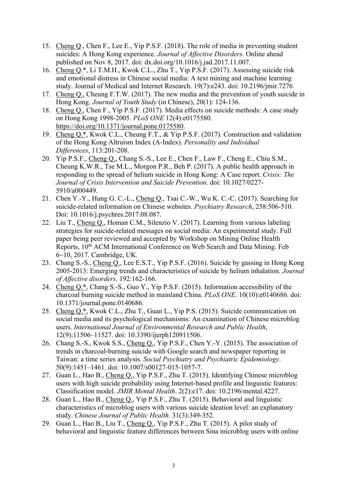- 15. Cheng Q., Chen F., Lee E., Yip P.S.F. (2018). The role of media in preventing student suicides: A Hong Kong experience. *Journal of Affective Disorders*. Online ahead published on Nov 8, 2017. doi: dx.doi.org/10.1016/j.jad.2017.11.007.
- 16. Cheng Q.\*, Li T.M.H., Kwok C.L., Zhu T., Yip P.S.F. (2017). Assessing suicide risk and emotional distress in Chinese social media: A text mining and machine learning study. Journal of Medical and Internet Research. 19(7):e243. doi: 10.2196/jmir.7276.
- 17. Cheng Q., Cheung F.T.W. (2017). The new media and the prevention of youth suicide in Hong Kong. *Journal of Youth Study* (in Chinese), 20(1): 124-136.
- 18. Cheng Q., Chen F., Yip P.S.F. (2017). Media effects on suicide methods: A case study on Hong Kong 1998-2005. *PLoS ONE* 12(4):e0175580. https://doi.org/10.1371/journal.pone.0175580.
- 19. Cheng Q.\*, Kwok C.L., Cheung F.T., & Yip P.S.F. (2017). Construction and validation of the Hong Kong Altruism Index (A-Index). *Personality and Individual Differences*, 113:201-208.
- 20. Yip P.S.F., Cheng Q., Chang S.-S., Lee E., Chen F., Law F., Cheng E., Chiu S.M., Cheung K.W.R., Tse M.L., Morgon P.R., Beh P. (2017). A public health approach in responding to the spread of helium suicide in Hong Kong: A Case report. *Crisis: The Journal of Crisis Intervention and Suicide Prevention*. doi: 10.1027/0227- 5910/a000449.
- 21. Chen Y.-Y., Hung G. C.-L., Cheng Q., Tsai C.-W., Wu K. C.-C. (2017). Searching for suicide-related information on Chinese websites. *Psychiatry Research*, 258:506-510. Doi: 10.1016/j.psychres.2017.08.087.
- 22. Liu T., Cheng Q., Homan C.M., Silenzio V. (2017). Learning from various labeling strategies for suicide-related messages on social media: An experimental study. Full paper being peer reviewed and accepted by Workshop on Mining Online Health Reports, 10th ACM International Conference on Web Search and Data Mining. Feb 6~10, 2017. Cambridge, UK.
- 23. Chang S.-S., Cheng Q., Lee E.S.T., Yip P.S.F. (2016). Suicide by gassing in Hong Kong 2005-2013: Emerging trends and characteristics of suicide by helium inhalation. *Journal of Affective disorders*. 192:162-166.
- 24. Cheng Q.\*, Chang S.-S., Guo Y., Yip P.S.F. (2015). Information accessibility of the charcoal burning suicide method in mainland China. *PLoS ONE*. 10(10):e0140686. doi: 10.1371/journal.pone.0140686.
- 25. Cheng Q.\*, Kwok C.L., Zhu T., Guan L., Yip P.S. (2015). Suicide communication on social media and its psychological mechanisms: An examination of Chinese microblog users. *International Journal of Environmental Research and Public Health*, 12(9):11506–11527. doi: 10.3390/ijerph120911506.
- 26. Chang S.-S., Kwok S.S., Cheng Q., Yip P.S.F., Chen Y.-Y. (2015). The association of trends in charcoal-burning suicide with Google search and newspaper reporting in Taiwan: a time series analysis. *Social Psychiatry and Psychiatric Epidemiology*. 50(9):1451–1461. doi: 10.1007/s00127-015-1057-7.
- 27. Guan L., Hao B., Cheng Q., Yip P.S.F., Zhu T. (2015). Identifying Chinese microblog users with high suicide probability using Internet-based profile and linguistic features: Classification model. *JMIR Mental Health*. 2(2):e17. doi: 10.2196/mental.4227.
- 28. Guan L., Hao B., Cheng Q., Yip P.S.F., Zhu T. (2015). Behavioral and linguistic characteristics of microblog users with various suicide ideation level: an explanatory study. *Chinese Journal of Public Health*. 31(3):349-352.
- 29. Guan L., Hao B., Liu T., Cheng Q., Yip P.S.F., Zhu T. (2015). A pilot study of behavioral and linguistic feature differences between Sina microblog users with online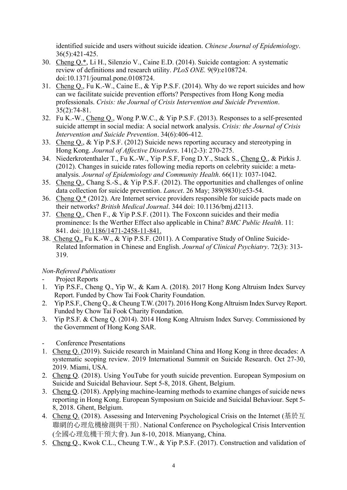identified suicide and users without suicide ideation. *Chinese Journal of Epidemiology*. 36(5):421-425.

- 30. Cheng Q.\*, Li H., Silenzio V., Caine E.D. (2014). Suicide contagion: A systematic review of definitions and research utility. *PLoS ONE.* 9(9):e108724. doi:10.1371/journal.pone.0108724.
- 31. Cheng Q., Fu K.-W., Caine E., & Yip P.S.F. (2014). Why do we report suicides and how can we facilitate suicide prevention efforts? Perspectives from Hong Kong media professionals. *Crisis: the Journal of Crisis Intervention and Suicide Prevention*. 35(2):74-81.
- 32. Fu K.-W., Cheng Q., Wong P.W.C., & Yip P.S.F. (2013). Responses to a self-presented suicide attempt in social media: A social network analysis. *Crisis: the Journal of Crisis Intervention and Suicide Prevention*. 34(6):406-412.
- 33. Cheng Q., & Yip P.S.F. (2012) Suicide news reporting accuracy and stereotyping in Hong Kong. *Journal of Affective Disorders*. 141(2-3): 270-275.
- 34. Niederkrotenthaler T., Fu K.-W., Yip P.S.F, Fong D.Y., Stack S., Cheng Q., & Pirkis J. (2012). Changes in suicide rates following media reports on celebrity suicide: a metaanalysis. *Journal of Epidemiology and Community Health*. 66(11): 1037-1042.
- 35. Cheng Q., Chang S.-S., & Yip P.S.F. (2012). The opportunities and challenges of online data collection for suicide prevention. *Lancet*. 26 May; 389(9830):e53-54.
- 36. Cheng Q.\* (2012). Are Internet service providers responsible for suicide pacts made on their networks? *British Medical Journal*. 344 doi: 10.1136/bmj.d2113.
- 37. Cheng Q., Chen F., & Yip P.S.F. (2011). The Foxconn suicides and their media prominence: Is the Werther Effect also applicable in China? *BMC Public Health*. 11: 841. doi: 10.1186/1471-2458-11-841.
- 38. Cheng Q., Fu K.-W., & Yip P.S.F. (2011). A Comparative Study of Online Suicide-Related Information in Chinese and English. *Journal of Clinical Psychiatry*. 72(3): 313- 319.

## *Non-Refereed Publications*

- Project Reports
- 1. Yip P.S.F., Cheng Q., Yip W., & Kam A. (2018). 2017 Hong Kong Altruism Index Survey Report. Funded by Chow Tai Fook Charity Foundation.
- 2. Yip P.S.F., Cheng Q., & Cheung T.W. (2017). 2016 Hong Kong Altruism Index Survey Report. Funded by Chow Tai Fook Charity Foundation.
- 3. Yip P.S.F. & Cheng Q. (2014). 2014 Hong Kong Altruism Index Survey. Commissioned by the Government of Hong Kong SAR.
- Conference Presentations
- 1. Cheng Q. (2019). Suicide research in Mainland China and Hong Kong in three decades: A systematic scoping review. 2019 International Summit on Suicide Research. Oct 27-30, 2019. Miami, USA.
- 2. Cheng Q. (2018). Using YouTube for youth suicide prevention. European Symposium on Suicide and Suicidal Behaviour. Sept 5-8, 2018. Ghent, Belgium.
- 3. Cheng Q. (2018). Applying machine-learning methods to examine changes of suicide news reporting in Hong Kong. European Symposium on Suicide and Suicidal Behaviour. Sept 5- 8, 2018. Ghent, Belgium.
- 4. Cheng Q. (2018). Assessing and Intervening Psychological Crisis on the Internet (基於互 聯網的心理危機檢測與干預). National Conference on Psychological Crisis Intervention (全國心理危機干預大會). Jun 8-10, 2018. Mianyang, China.
- 5. Cheng Q., Kwok C.L., Cheung T.W., & Yip P.S.F. (2017). Construction and validation of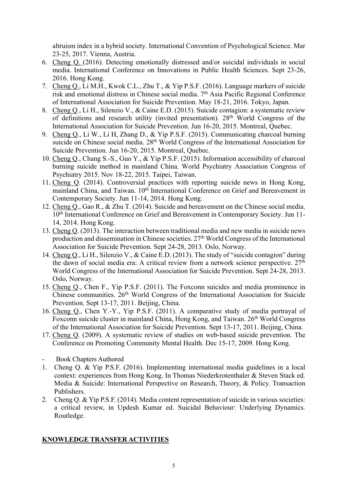altruism index in a hybrid society. International Convention of Psychological Science. Mar 23-25, 2017. Vienna, Austria.

- 6. Cheng Q. (2016). Detecting emotionally distressed and/or suicidal individuals in social media. International Conference on Innovations in Public Health Sciences. Sept 23-26, 2016. Hong Kong.
- 7. Cheng Q., Li M.H., Kwok C.L., Zhu T., & Yip P.S.F. (2016). Language markers of suicide risk and emotional distress in Chinese social media. 7th Asia Pacific Regional Conference of International Association for Suicide Prevention. May 18-21, 2016. Tokyo, Japan.
- 8. Cheng Q., Li H., Silenzio V., & Caine E.D. (2015). Suicide contagion: a systematic review of definitions and research utility (invited presentation). 28<sup>th</sup> World Congress of the International Association for Suicide Prevention. Jun 16-20, 2015. Montreal, Quebec.
- 9. Cheng Q., Li W., Li H, Zhang D., & Yip P.S.F. (2015). Communicating charcoal burning suicide on Chinese social media. 28<sup>th</sup> World Congress of the International Association for Suicide Prevention. Jun 16-20, 2015. Montreal, Quebec.
- 10. Cheng Q., Chang S.-S., Guo Y., & Yip P.S.F. (2015). Information accessibility of charcoal burning suicide method in mainland China. World Psychiatry Association Congress of Psychiatry 2015. Nov 18-22, 2015. Taipei, Taiwan.
- 11. Cheng Q. (2014). Controversial practices with reporting suicide news in Hong Kong, mainland China, and Taiwan. 10<sup>th</sup> International Conference on Grief and Bereavement in Contemporary Society. Jun 11-14, 2014. Hong Kong.
- 12. Cheng Q., Gao R., & Zhu T. (2014). Suicide and bereavement on the Chinese social media. 10<sup>th</sup> International Conference on Grief and Bereavement in Contemporary Society. Jun 11-14, 2014. Hong Kong.
- 13. Cheng Q. (2013). The interaction between traditional media and new media in suicide news production and dissemination in Chinese societies. 27th World Congress of the International Association for Suicide Prevention. Sept 24-28, 2013. Oslo, Norway.
- 14. Cheng Q., Li H., Silenzio V., & Caine E.D. (2013). The study of "suicide contagion" during the dawn of social media era: A critical review from a network science perspective.  $27<sup>th</sup>$ World Congress of the International Association for Suicide Prevention. Sept 24-28, 2013. Oslo, Norway.
- 15. Cheng Q., Chen F., Yip P.S.F. (2011). The Foxconn suicides and media prominence in Chinese communities. 26<sup>th</sup> World Congress of the International Association for Suicide Prevention. Sept 13-17, 2011. Beijing, China.
- 16. Cheng Q., Chen Y.-Y., Yip P.S.F. (2011). A comparative study of media portrayal of Foxconn suicide cluster in mainland China, Hong Kong, and Taiwan. 26<sup>th</sup> World Congress of the International Association for Suicide Prevention. Sept 13-17, 2011. Beijing, China.
- 17. Cheng Q. (2009). A systematic review of studies on web-based suicide prevention. The Conference on Promoting Community Mental Health. Dec 15-17, 2009. Hong Kong.
- Book Chapters Authored
- 1. Cheng Q. & Yip P.S.F. (2016). Implementing international media guidelines in a local context: experiences from Hong Kong. In Thomas Niederkrotenthaler & Steven Stack ed. Media & Suicide: International Perspective on Research, Theory, & Policy. Transaction Publishers.
- 2. Cheng Q. & Yip P.S.F. (2014). Media content representation of suicide in various societies: a critical review, in Updesh Kumar ed. Suicidal Behaviour: Underlying Dynamics. Routledge.

## **KNOWLEDGE TRANSFER ACTIVITIES**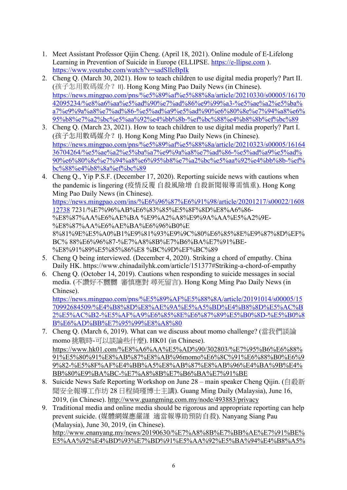- 1. Meet Assistant Professor Qijin Cheng. (April 18, 2021). Online module of E-Lifelong Learning in Prevention of Suicide in Europe (ELLIPSE. https://e-llipse.com ). https://www.youtube.com/watch?v=sadSIleBpIk
- 2. Cheng Q. (March 30, 2021). How to teach children to use digital media properly? Part II. (孩子怎用數碼媒介? II). Hong Kong Ming Pao Daily News (in Chinese). https://news.mingpao.com/pns/%e5%89%af%e5%88%8a/article/20210330/s00005/16170 42095234/%e8%a6%aa%e5%ad%90%e7%ad%86%e9%99%a3-%e5%ae%a2%e5%ba% a7%e9%9a%a8%e7%ad%86-%e5%ad%a9%e5%ad%90%e6%80%8e%e7%94%a8%e6% 95%b8%e7%a2%bc%e5%aa%92%e4%bb%8b-%ef%bc%88%e4%b8%8b%ef%bc%89
- 3. Cheng Q. (March 23, 2021). How to teach children to use digital media properly? Part I. (孩子怎用數碼媒介? I). Hong Kong Ming Pao Daily News (in Chinese). https://news.mingpao.com/pns/%e5%89%af%e5%88%8a/article/20210323/s00005/16164 36704264/%e5%ae%a2%e5%ba%a7%e9%9a%a8%e7%ad%86-%e5%ad%a9%e5%ad% 90%e6%80%8e%e7%94%a8%e6%95%b8%e7%a2%bc%e5%aa%92%e4%bb%8b-%ef% bc%88%e4%b8%8a%ef%bc%89
- 4. Cheng Q., Yip P.S.F. (December 17, 2020). Reporting suicide news with cautions when the pandemic is lingering (疫情反覆 自殺風險增 自殺新聞報導需慎重). Hong Kong Ming Pao Daily News (in Chinese). https://news.mingpao.com/ins/%E6%96%87%E6%91%98/article/20201217/s00022/1608 12738 7231/%E7%96%AB%E6%83%85%E5%8F%8D%E8%A6%86- %E8%87%AA%E6%AE%BA %E9%A2%A8%E9%9A%AA%E5%A2%9E- %E8%87%AA%E6%AE%BA%E6%96%B0%E 8%81%9E%E5%A0%B1%E9%81%93%E9%9C%80%E6%85%8E%E9%87%8D%EF% BC% 88%E6%96%87-%E7%A8%8B%E7%B6%BA%E7%91%BE- %E8%91%89%E5%85%86%E8 %BC%9D%EF%BC%89
- 5. Cheng Q being interviewed. (December 4, 2020). Striking a chord of empathy. China Daily HK. https://www.chinadailyhk.com/article/151377#Striking-a-chord-of-empathy
- 6. Cheng Q. (October 14, 2019). Cautions when responding to suicide messages in social media. (不讚好不嬲嬲 審慎應對 尋死留言). Hong Kong Ming Pao Daily News (in Chinese).

https://news.mingpao.com/pns/%E5%89%AF%E5%88%8A/article/20191014/s00005/15 70992684509/%E4%B8%8D%E8%AE%9A%E5%A5%BD%E4%B8%8D%E5%AC%B 2%E5%AC%B2-%E5%AF%A9%E6%85%8E%E6%87%89%E5%B0%8D-%E5%B0%8 B%E6%AD%BB%E7%95%99%E8%A8%80

- 7. Cheng Q. (March 6, 2019). What can we discuss about momo challenge? (當我們談論 momo 挑戰時-可以談論些什麼). HK01 (in Chinese). https://www.hk01.com/%E8%A6%AA%E5%AD%90/302803/%E7%95%B6%E6%88% 91%E5%80%91%E8%AB%87%E8%AB%96momo%E6%8C%91%E6%88%B0%E6%9 9%82-%E5%8F%AF%E4%BB%A5%E8%AB%87%E8%AB%96%E4%BA%9B%E4% BB%80%E9%BA%BC-%E7%A8%8B%E7%B6%BA%E7%91%BE
- 8. Suicide News Safe Reporting Workshop on June 28 main speaker Cheng Qijin. (自殺新 聞安全報導工作坊 28 日程綺瑾博士主講). Guang Ming Daily (Malaysia), June 16, 2019, (in Chinese). http://www.guangming.com.my/node/493883/privacy
- 9. Traditional media and online media should be rigorous and appropriate reporting can help prevent suicide. (媒體網媒應嚴謹 適當報導助預防自殺). Nanyang Siang Pau (Malaysia), June 30, 2019, (in Chinese). http://www.enanyang.my/news/20190630/%E7%A8%8B%E7%BB%AE%E7%91%BE% E5%AA%92%E4%BD%93%E7%BD%91%E5%AA%92%E5%BA%94%E4%B8%A5%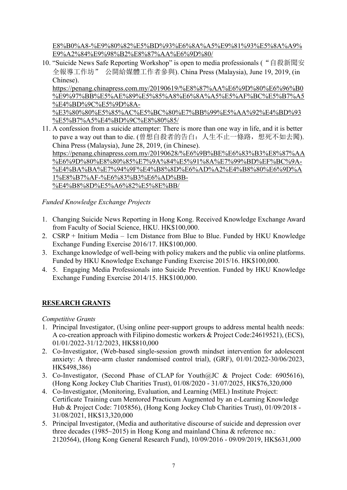E8%B0%A8-%E9%80%82%E5%BD%93%E6%8A%A5%E9%81%93%E5%8A%A9% E9%A2%84%E9%98%B2%E8%87%AA%E6%9D%80/

10. "Suicide News Safe Reporting Workshop" is open to media professionals ("自殺新聞安 全報導工作坊" 公開給媒體工作者參與). China Press (Malaysia), June 19, 2019, (in Chinese).

https://penang.chinapress.com.my/20190619/%E8%87%AA%E6%9D%80%E6%96%B0 %E9%97%BB%E5%AE%89%E5%85%A8%E6%8A%A5%E5%AF%BC%E5%B7%A5 %E4%BD%9C%E5%9D%8A-

%E3%80%80%E5%85%AC%E5%BC%80%E7%BB%99%E5%AA%92%E4%BD%93 %E5%B7%A5%E4%BD%9C%E8%80%85/

11. A confession from a suicide attempter: There is more than one way in life, and it is better to pave a way out than to die. (曾想自殺者的告白: 人生不止一條路, 想死不如去闖). China Press (Malaysia), June 28, 2019, (in Chinese). https://penang.chinapress.com.my/20190628/%E6%9B%BE%E6%83%B3%E8%87%AA %E6%9D%80%E8%80%85%E7%9A%84%E5%91%8A%E7%99%BD%EF%BC%9A-%E4%BA%BA%E7%94%9F%E4%B8%8D%E6%AD%A2%E4%B8%80%E6%9D%A 1%E8%B7%AF-%E6%83%B3%E6%AD%BB- %E4%B8%8D%E5%A6%82%E5%8E%BB/

*Funded Knowledge Exchange Projects*

- 1. Changing Suicide News Reporting in Hong Kong. Received Knowledge Exchange Award from Faculty of Social Science, HKU. HK\$100,000.
- 2. CSRP + Initium Media 1cm Distance from Blue to Blue. Funded by HKU Knowledge Exchange Funding Exercise 2016/17. HK\$100,000.
- 3. Exchange knowledge of well-being with policy makers and the public via online platforms. Funded by HKU Knowledge Exchange Funding Exercise 2015/16. HK\$100,000.
- 4. 5. Engaging Media Professionals into Suicide Prevention. Funded by HKU Knowledge Exchange Funding Exercise 2014/15. HK\$100,000.

# **RESEARCH GRANTS**

*Competitive Grants*

- 1. Principal Investigator, (Using online peer-support groups to address mental health needs: A co-creation approach with Filipino domestic workers & Project Code:24619521), (ECS), 01/01/2022-31/12/2023, HK\$810,000
- 2. Co-Investigator, (Web-based single-session growth mindset intervention for adolescent anxiety: A three-arm cluster randomised control trial), (GRF), 01/01/2022-30/06/2023, HK\$498,386)
- 3. Co-Investigator, (Second Phase of CLAP for Youth@JC & Project Code: 6905616), (Hong Kong Jockey Club Charities Trust), 01/08/2020 - 31/07/2025, HK\$76,320,000
- 4. Co-Investigator, (Monitoring, Evaluation, and Learning (MEL) Institute Project: Certificate Training cum Mentored Practicum Augmented by an e-Learning Knowledge Hub & Project Code: 7105856), (Hong Kong Jockey Club Charities Trust), 01/09/2018 - 31/08/2021, HK\$13,320,000
- 5. Principal Investigator, (Media and authoritative discourse of suicide and depression over three decades (1985~2015) in Hong Kong and mainland China & reference no.: 2120564), (Hong Kong General Research Fund), 10/09/2016 - 09/09/2019, HK\$631,000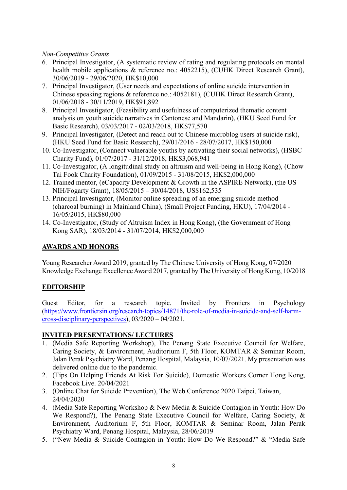### *Non-Competitive Grants*

- 6. Principal Investigator, (A systematic review of rating and regulating protocols on mental health mobile applications & reference no.: 4052215), (CUHK Direct Research Grant), 30/06/2019 - 29/06/2020, HK\$10,000
- 7. Principal Investigator, (User needs and expectations of online suicide intervention in Chinese speaking regions & reference no.: 4052181), (CUHK Direct Research Grant), 01/06/2018 - 30/11/2019, HK\$91,892
- 8. Principal Investigator, (Feasibility and usefulness of computerized thematic content analysis on youth suicide narratives in Cantonese and Mandarin), (HKU Seed Fund for Basic Research), 03/03/2017 - 02/03/2018, HK\$77,570
- 9. Principal Investigator, (Detect and reach out to Chinese microblog users at suicide risk), (HKU Seed Fund for Basic Research), 29/01/2016 - 28/07/2017, HK\$150,000
- 10. Co-Investigator, (Connect vulnerable youths by activating their social networks), (HSBC Charity Fund), 01/07/2017 - 31/12/2018, HK\$3,068,941
- 11. Co-Investigator, (A longitudinal study on altruism and well-being in Hong Kong), (Chow Tai Fook Charity Foundation), 01/09/2015 - 31/08/2015, HK\$2,000,000
- 12. Trained mentor, (eCapacity Development & Growth in the ASPIRE Network), (the US NIH/Fogarty Grant), 18/05/2015 – 30/04/2018, US\$162,535
- 13. Principal Investigator, (Monitor online spreading of an emerging suicide method (charcoal burning) in Mainland China), (Small Project Funding, HKU), 17/04/2014 - 16/05/2015, HK\$80,000
- 14. Co-Investigator, (Study of Altruism Index in Hong Kong), (the Government of Hong Kong SAR), 18/03/2014 - 31/07/2014, HK\$2,000,000

## **AWARDS AND HONORS**

Young Researcher Award 2019, granted by The Chinese University of Hong Kong, 07/2020 Knowledge Exchange Excellence Award 2017, granted by The University of Hong Kong, 10/2018

## **EDITORSHIP**

Guest Editor, for a research topic. Invited by Frontiers in Psychology (https://www.frontiersin.org/research-topics/14871/the-role-of-media-in-suicide-and-self-harmcross-disciplinary-perspectives), 03/2020 – 04/2021.

## **INVITED PRESENTATIONS/ LECTURES**

- 1. (Media Safe Reporting Workshop), The Penang State Executive Council for Welfare, Caring Society, & Environment, Auditorium F, 5th Floor, KOMTAR & Seminar Room, Jalan Perak Psychiatry Ward, Penang Hospital, Malaysia, 10/07/2021. My presentation was delivered online due to the pandemic.
- 2. (Tips On Helping Friends At Risk For Suicide), Domestic Workers Corner Hong Kong, Facebook Live. 20/04/2021
- 3. (Online Chat for Suicide Prevention), The Web Conference 2020 Taipei, Taiwan, 24/04/2020
- 4. (Media Safe Reporting Workshop & New Media & Suicide Contagion in Youth: How Do We Respond?), The Penang State Executive Council for Welfare, Caring Society, & Environment, Auditorium F, 5th Floor, KOMTAR & Seminar Room, Jalan Perak Psychiatry Ward, Penang Hospital, Malaysia, 28/06/2019
- 5. ("New Media & Suicide Contagion in Youth: How Do We Respond?" & "Media Safe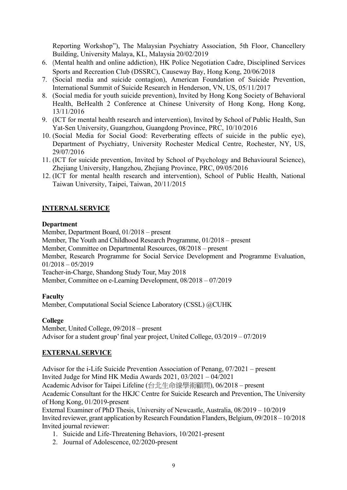Reporting Workshop"), The Malaysian Psychiatry Association, 5th Floor, Chancellery Building, University Malaya, KL, Malaysia 20/02/2019

- 6. (Mental health and online addiction), HK Police Negotiation Cadre, Disciplined Services Sports and Recreation Club (DSSRC), Causeway Bay, Hong Kong, 20/06/2018
- 7. (Social media and suicide contagion), American Foundation of Suicide Prevention, International Summit of Suicide Research in Henderson, VN, US, 05/11/2017
- 8. (Social media for youth suicide prevention), Invited by Hong Kong Society of Behavioral Health, BeHealth 2 Conference at Chinese University of Hong Kong, Hong Kong, 13/11/2016
- 9. (ICT for mental health research and intervention), Invited by School of Public Health, Sun Yat-Sen University, Guangzhou, Guangdong Province, PRC, 10/10/2016
- 10. (Social Media for Social Good: Reverberating effects of suicide in the public eye), Department of Psychiatry, University Rochester Medical Centre, Rochester, NY, US, 29/07/2016
- 11. (ICT for suicide prevention, Invited by School of Psychology and Behavioural Science), Zhejiang University, Hangzhou, Zhejiang Province, PRC, 09/05/2016
- 12. (ICT for mental health research and intervention), School of Public Health, National Taiwan University, Taipei, Taiwan, 20/11/2015

## **INTERNAL SERVICE**

#### **Department**

Member, Department Board, 01/2018 – present

Member, The Youth and Childhood Research Programme, 01/2018 – present

Member, Committee on Departmental Resources, 08/2018 – present

Member, Research Programme for Social Service Development and Programme Evaluation, 01/2018 – 05/2019

Teacher-in-Charge, Shandong Study Tour, May 2018

Member, Committee on e-Learning Development, 08/2018 – 07/2019

### **Faculty**

Member, Computational Social Science Laboratory (CSSL) @CUHK

### **College**

Member, United College, 09/2018 – present Advisor for a student group'final year project, United College, 03/2019 – 07/2019

## **EXTERNAL SERVICE**

Advisor for the i-Life Suicide Prevention Association of Penang, 07/2021 – present Invited Judge for Mind HK Media Awards 2021, 03/2021 – 04/2021 Academic Advisor for Taipei Lifeline (台北生命線學術顧問), 06/2018 – present Academic Consultant for the HKJC Centre for Suicide Research and Prevention, The University of Hong Kong, 01/2019-present

External Examiner of PhD Thesis, University of Newcastle, Australia, 08/2019 – 10/2019 Invited reviewer, grant application by Research Foundation Flanders, Belgium, 09/2018 – 10/2018 Invited journal reviewer:

- 1. Suicide and Life-Threatening Behaviors, 10/2021-present
- 2. Journal of Adolescence, 02/2020-present